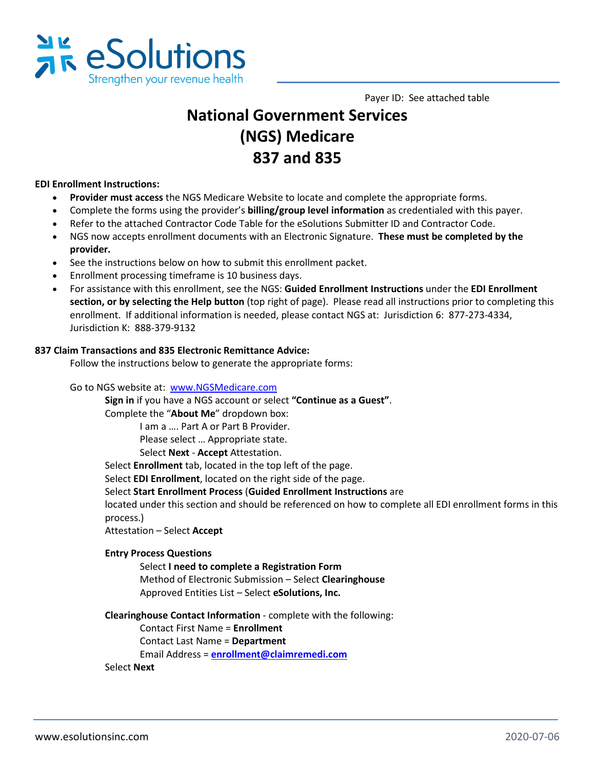

Payer ID: See attached table

# **National Government Services (NGS) Medicare 837 and 835**

# **EDI Enrollment Instructions:**

- **Provider must access** the NGS Medicare Website to locate and complete the appropriate forms.
- Complete the forms using the provider's **billing/group level information** as credentialed with this payer.
- Refer to the attached Contractor Code Table for the eSolutions Submitter ID and Contractor Code.
- NGS now accepts enrollment documents with an Electronic Signature. **These must be completed by the provider.**
- See the instructions below on how to submit this enrollment packet.
- Enrollment processing timeframe is 10 business days.
- For assistance with this enrollment, see the NGS: **Guided Enrollment Instructions** under the **EDI Enrollment section, or by selecting the Help button** (top right of page). Please read all instructions prior to completing this enrollment. If additional information is needed, please contact NGS at: Jurisdiction 6: 877-273-4334, Jurisdiction K: 888-379-9132

#### **837 Claim Transactions and 835 Electronic Remittance Advice:**

Follow the instructions below to generate the appropriate forms:

Go to NGS website at: [www.NGSMedicare.com](http://www.ngsmedicare.com/) 

**Sign in** if you have a NGS account or select **"Continue as a Guest"**.

Complete the "**About Me**" dropdown box:

I am a …. Part A or Part B Provider.

Please select … Appropriate state.

Select **Next** - **Accept** Attestation.

Select **Enrollment** tab, located in the top left of the page.

Select **EDI Enrollment**, located on the right side of the page.

Select **Start Enrollment Process** (**Guided Enrollment Instructions** are

located under this section and should be referenced on how to complete all EDI enrollment forms in this process.)

Attestation – Select **Accept**

# **Entry Process Questions**

Select **I need to complete a Registration Form** Method of Electronic Submission – Select **Clearinghouse** Approved Entities List – Select **eSolutions, Inc.**

**Clearinghouse Contact Information** - complete with the following:

Contact First Name = **Enrollment** 

Contact Last Name = **Department**

Email Address = **[enrollment@claimremedi.com](mailto:enrollment@claimremedi.com)**

#### Select **Next**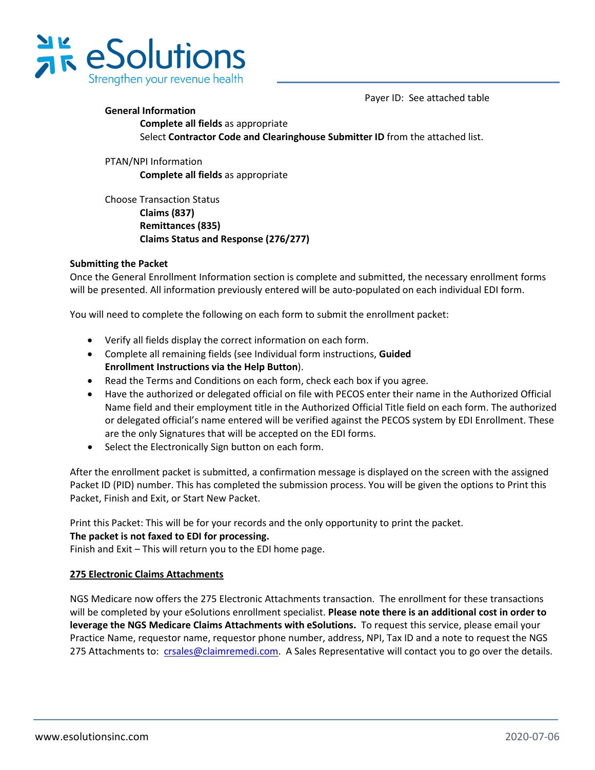

Payer ID: See attached table

# **General Information Complete all fields** as appropriate Select **Contractor Code and Clearinghouse Submitter ID** from the attached list.

PTAN/NPI Information **Complete all fields** as appropriate

Choose Transaction Status  **Claims (837) Remittances (835) Claims Status and Response (276/277)**

# **Submitting the Packet**

Once the General Enrollment Information section is complete and submitted, the necessary enrollment forms will be presented. All information previously entered will be auto-populated on each individual EDI form.

You will need to complete the following on each form to submit the enrollment packet:

- Verify all fields display the correct information on each form.
- Complete all remaining fields (see Individual form instructions, **Guided Enrollment Instructions via the Help Button**).
- Read the Terms and Conditions on each form, check each box if you agree.
- Have the authorized or delegated official on file with PECOS enter their name in the Authorized Official Name field and their employment title in the Authorized Official Title field on each form. The authorized or delegated official's name entered will be verified against the PECOS system by EDI Enrollment. These are the only Signatures that will be accepted on the EDI forms.
- Select the Electronically Sign button on each form.

After the enrollment packet is submitted, a confirmation message is displayed on the screen with the assigned Packet ID (PID) number. This has completed the submission process. You will be given the options to Print this Packet, Finish and Exit, or Start New Packet.

Print this Packet: This will be for your records and the only opportunity to print the packet.

# **The packet is not faxed to EDI for processing.**

Finish and Exit – This will return you to the EDI home page.

# **275 Electronic Claims Attachments**

NGS Medicare now offers the 275 Electronic Attachments transaction. The enrollment for these transactions will be completed by your eSolutions enrollment specialist. **Please note there is an additional cost in order to leverage the NGS Medicare Claims Attachments with eSolutions.** To request this service, please email your Practice Name, requestor name, requestor phone number, address, NPI, Tax ID and a note to request the NGS 275 Attachments to: [crsales@claimremedi.com.](mailto:crsales@claimremedi.com) A Sales Representative will contact you to go over the details.